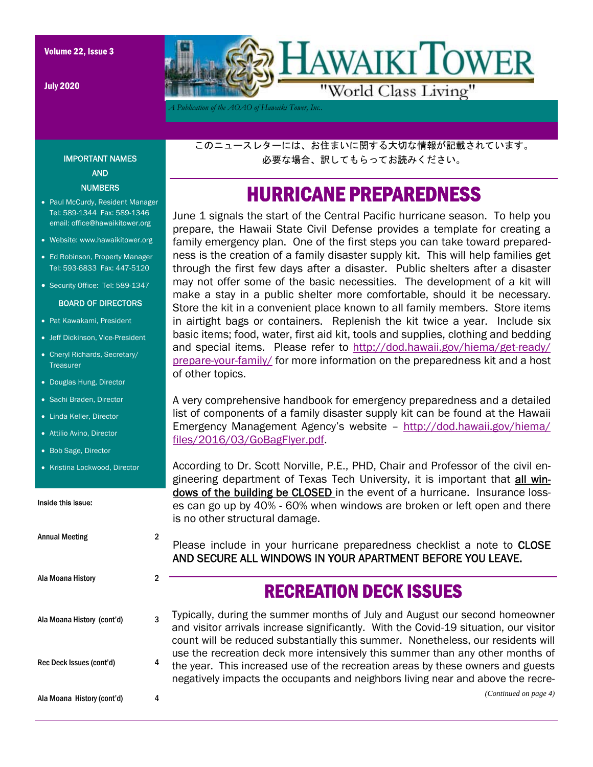July 2020



*A Publication of the AOAO of Hawaiki Tower, Inc..* 

このニュースレターには、お住まいに関する大切な情報が記載されています。 必要な場合、訳してもらってお読みください。

## HURRICANE PREPAREDNESS

June 1 signals the start of the Central Pacific hurricane season. To help you prepare, the Hawaii State Civil Defense provides a template for creating a family emergency plan. One of the first steps you can take toward preparedness is the creation of a family disaster supply kit. This will help families get through the first few days after a disaster. Public shelters after a disaster may not offer some of the basic necessities. The development of a kit will make a stay in a public shelter more comfortable, should it be necessary. Store the kit in a convenient place known to all family members. Store items in airtight bags or containers. Replenish the kit twice a year. Include six basic items; food, water, first aid kit, tools and supplies, clothing and bedding and special items. Please refer to http://dod.hawaii.gov/hiema/get-ready/ prepare-your-family/ for more information on the preparedness kit and a host of other topics.

A very comprehensive handbook for emergency preparedness and a detailed list of components of a family disaster supply kit can be found at the Hawaii Emergency Management Agency's website – http://dod.hawaii.gov/hiema/ files/2016/03/GoBagFlyer.pdf.

According to Dr. Scott Norville, P.E., PHD, Chair and Professor of the civil engineering department of Texas Tech University, it is important that all windows of the building be CLOSED in the event of a hurricane. Insurance losses can go up by 40% - 60% when windows are broken or left open and there is no other structural damage.

Please include in your hurricane preparedness checklist a note to CLOSE AND SECURE ALL WINDOWS IN YOUR APARTMENT BEFORE YOU LEAVE.

#### RECREATION DECK ISSUES

Typically, during the summer months of July and August our second homeowner and visitor arrivals increase significantly. With the Covid-19 situation, our visitor count will be reduced substantially this summer. Nonetheless, our residents will use the recreation deck more intensively this summer than any other months of the year. This increased use of the recreation areas by these owners and guests negatively impacts the occupants and neighbors living near and above the recre-

IMPORTANT NAMES AND **NUMBERS** 

- Paul McCurdy, Resident Manager Tel: 589-1344 Fax: 589-1346 email: office@hawaikitower.org
- Website: www.hawaikitower.org
- Ed Robinson, Property Manager Tel: 593-6833 Fax: 447-5120
- Security Office: Tel: 589-1347

#### BOARD OF DIRECTORS

- Pat Kawakami, President
- Jeff Dickinson, Vice-President
- Cheryl Richards, Secretary/ Treasurer
- Douglas Hung, Director
- Sachi Braden, Director
- Linda Keller, Director
- Attilio Avino, Director
- Bob Sage, Director
- Kristina Lockwood, Director

Inside this issue:

| <b>Annual Meeting</b>      |   |
|----------------------------|---|
| Ala Moana History          |   |
| Ala Moana History (cont'd) |   |
| Rec Deck Issues (cont'd)   | 4 |
| Ala Moana History (cont'd) |   |

*(Continued on page 4)*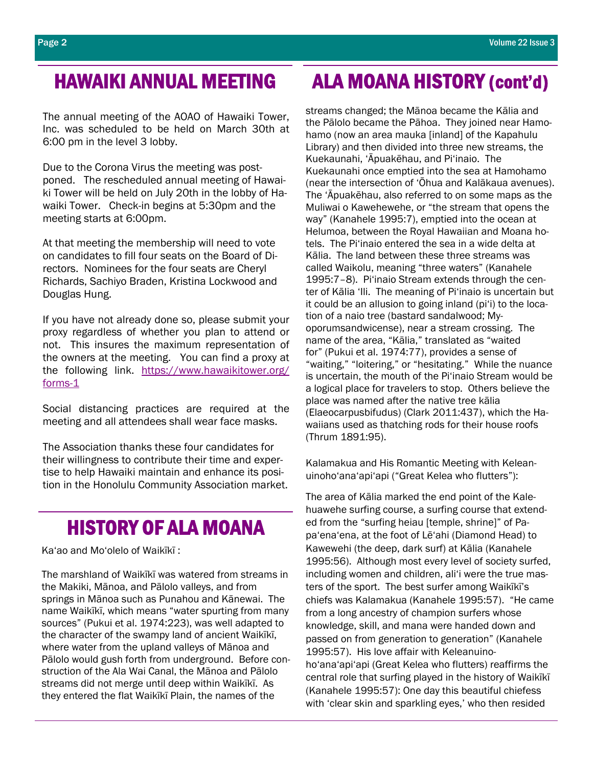The annual meeting of the AOAO of Hawaiki Tower, Inc. was scheduled to be held on March 30th at 6:00 pm in the level 3 lobby.

Due to the Corona Virus the meeting was postponed. The rescheduled annual meeting of Hawaiki Tower will be held on July 20th in the lobby of Hawaiki Tower. Check-in begins at 5:30pm and the meeting starts at 6:00pm.

At that meeting the membership will need to vote on candidates to fill four seats on the Board of Directors. Nominees for the four seats are Cheryl Richards, Sachiyo Braden, Kristina Lockwood and Douglas Hung.

If you have not already done so, please submit your proxy regardless of whether you plan to attend or not. This insures the maximum representation of the owners at the meeting. You can find a proxy at the following link. https://www.hawaikitower.org/ forms-1

Social distancing practices are required at the meeting and all attendees shall wear face masks.

The Association thanks these four candidates for their willingness to contribute their time and expertise to help Hawaiki maintain and enhance its position in the Honolulu Community Association market.

#### HISTORY OF ALA MOANA

Ka'ao and Mo'olelo of Waikīkī :

The marshland of Waikīkī was watered from streams in the Makiki, Mānoa, and Pālolo valleys, and from springs in Mānoa such as Punahou and Kānewai. The name Waikīkī, which means "water spurting from many sources" (Pukui et al. 1974:223), was well adapted to the character of the swampy land of ancient Waikīkī, where water from the upland valleys of Mānoa and Pālolo would gush forth from underground. Before construction of the Ala Wai Canal, the Mānoa and Pālolo streams did not merge until deep within Waikīkī. As they entered the flat Waikīkī Plain, the names of the

# HAWAIKI ANNUAL MEETING ALA MOANA HISTORY (cont'd)

streams changed; the Mānoa became the Kālia and the Pālolo became the Pāhoa. They joined near Hamohamo (now an area mauka [inland] of the Kapahulu Library) and then divided into three new streams, the Kuekaunahi, 'Āpuakēhau, and Pi'inaio. The Kuekaunahi once emptied into the sea at Hamohamo (near the intersection of 'Ōhua and Kalākaua avenues). The 'Āpuakēhau, also referred to on some maps as the Muliwai o Kawehewehe, or "the stream that opens the way" (Kanahele 1995:7), emptied into the ocean at Helumoa, between the Royal Hawaiian and Moana hotels. The Pi'inaio entered the sea in a wide delta at Kālia. The land between these three streams was called Waikolu, meaning "three waters" (Kanahele 1995:7–8). Pi'inaio Stream extends through the center of Kālia 'Ili. The meaning of Pi'inaio is uncertain but it could be an allusion to going inland (pi'i) to the location of a naio tree (bastard sandalwood; Myoporumsandwicense), near a stream crossing. The name of the area, "Kālia," translated as "waited for" (Pukui et al. 1974:77), provides a sense of "waiting," "loitering," or "hesitating." While the nuance is uncertain, the mouth of the Pi'inaio Stream would be a logical place for travelers to stop. Others believe the place was named after the native tree kālia (Elaeocarpusbifudus) (Clark 2011:437), which the Hawaiians used as thatching rods for their house roofs (Thrum 1891:95).

Kalamakua and His Romantic Meeting with Keleanuinoho'ana'api'api ("Great Kelea who flutters"):

The area of Kālia marked the end point of the Kalehuawehe surfing course, a surfing course that extended from the "surfing heiau [temple, shrine]" of Papa'ena'ena, at the foot of Lē'ahi (Diamond Head) to Kawewehi (the deep, dark surf) at Kālia (Kanahele 1995:56). Although most every level of society surfed, including women and children, ali'i were the true masters of the sport. The best surfer among Waikīkī's chiefs was Kalamakua (Kanahele 1995:57). "He came from a long ancestry of champion surfers whose knowledge, skill, and mana were handed down and passed on from generation to generation" (Kanahele 1995:57). His love affair with Keleanuinoho'ana'api'api (Great Kelea who flutters) reaffirms the central role that surfing played in the history of Waikīkī (Kanahele 1995:57): One day this beautiful chiefess with 'clear skin and sparkling eyes,' who then resided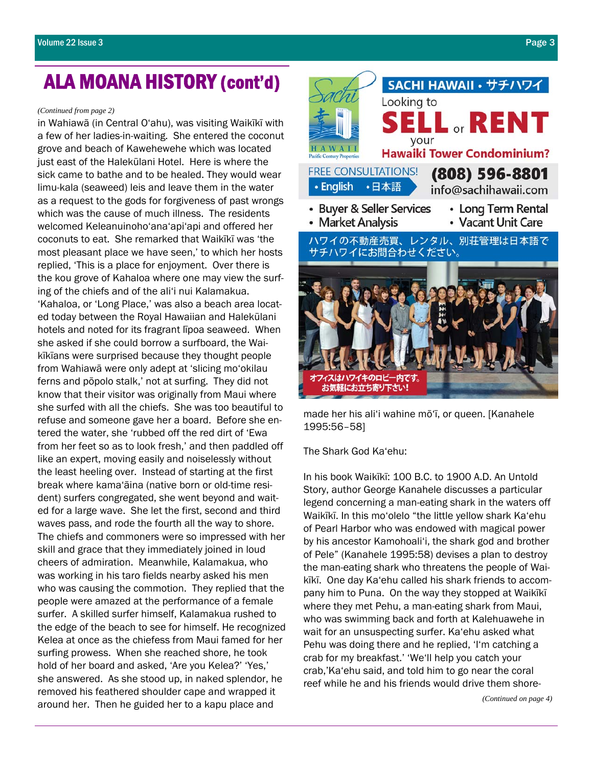#### ALA MOANA HISTORY (cont'd)

#### *(Continued from page 2)*

in Wahiawā (in Central O'ahu), was visiting Waikīkī with a few of her ladies-in-waiting. She entered the coconut grove and beach of Kawehewehe which was located just east of the Halekūlani Hotel. Here is where the sick came to bathe and to be healed. They would wear limu-kala (seaweed) leis and leave them in the water as a request to the gods for forgiveness of past wrongs which was the cause of much illness. The residents welcomed Keleanuinoho'ana'api'api and offered her coconuts to eat. She remarked that Waikīkī was 'the most pleasant place we have seen,' to which her hosts replied, 'This is a place for enjoyment. Over there is the kou grove of Kahaloa where one may view the surfing of the chiefs and of the ali'i nui Kalamakua. 'Kahaloa, or 'Long Place,' was also a beach area located today between the Royal Hawaiian and Halekūlani hotels and noted for its fragrant līpoa seaweed. When she asked if she could borrow a surfboard, the Waikīkīans were surprised because they thought people from Wahiawā were only adept at 'slicing mo'okilau ferns and pōpolo stalk,' not at surfing. They did not know that their visitor was originally from Maui where she surfed with all the chiefs. She was too beautiful to refuse and someone gave her a board. Before she entered the water, she 'rubbed off the red dirt of 'Ewa from her feet so as to look fresh,' and then paddled off like an expert, moving easily and noiselessly without the least heeling over. Instead of starting at the first break where kama'āina (native born or old-time resident) surfers congregated, she went beyond and waited for a large wave. She let the first, second and third waves pass, and rode the fourth all the way to shore. The chiefs and commoners were so impressed with her skill and grace that they immediately joined in loud cheers of admiration. Meanwhile, Kalamakua, who was working in his taro fields nearby asked his men who was causing the commotion. They replied that the people were amazed at the performance of a female surfer. A skilled surfer himself, Kalamakua rushed to the edge of the beach to see for himself. He recognized Kelea at once as the chiefess from Maui famed for her surfing prowess. When she reached shore, he took hold of her board and asked, 'Are you Kelea?' 'Yes,' she answered. As she stood up, in naked splendor, he removed his feathered shoulder cape and wrapped it around her. Then he guided her to a kapu place and



made her his ali'i wahine mō'ī, or queen. [Kanahele 1995:56–58]

The Shark God Ka'ehu:

In his book Waikīkī: 100 B.C. to 1900 A.D. An Untold Story, author George Kanahele discusses a particular legend concerning a man-eating shark in the waters off Waikīkī. In this mo'olelo "the little yellow shark Ka'ehu of Pearl Harbor who was endowed with magical power by his ancestor Kamohoali'i, the shark god and brother of Pele" (Kanahele 1995:58) devises a plan to destroy the man-eating shark who threatens the people of Waikīkī. One day Ka'ehu called his shark friends to accompany him to Puna. On the way they stopped at Waikīkī where they met Pehu, a man-eating shark from Maui, who was swimming back and forth at Kalehuawehe in wait for an unsuspecting surfer. Ka'ehu asked what Pehu was doing there and he replied, 'I'm catching a crab for my breakfast.' 'We'll help you catch your crab,'Ka'ehu said, and told him to go near the coral reef while he and his friends would drive them shore-

*(Continued on page 4)*